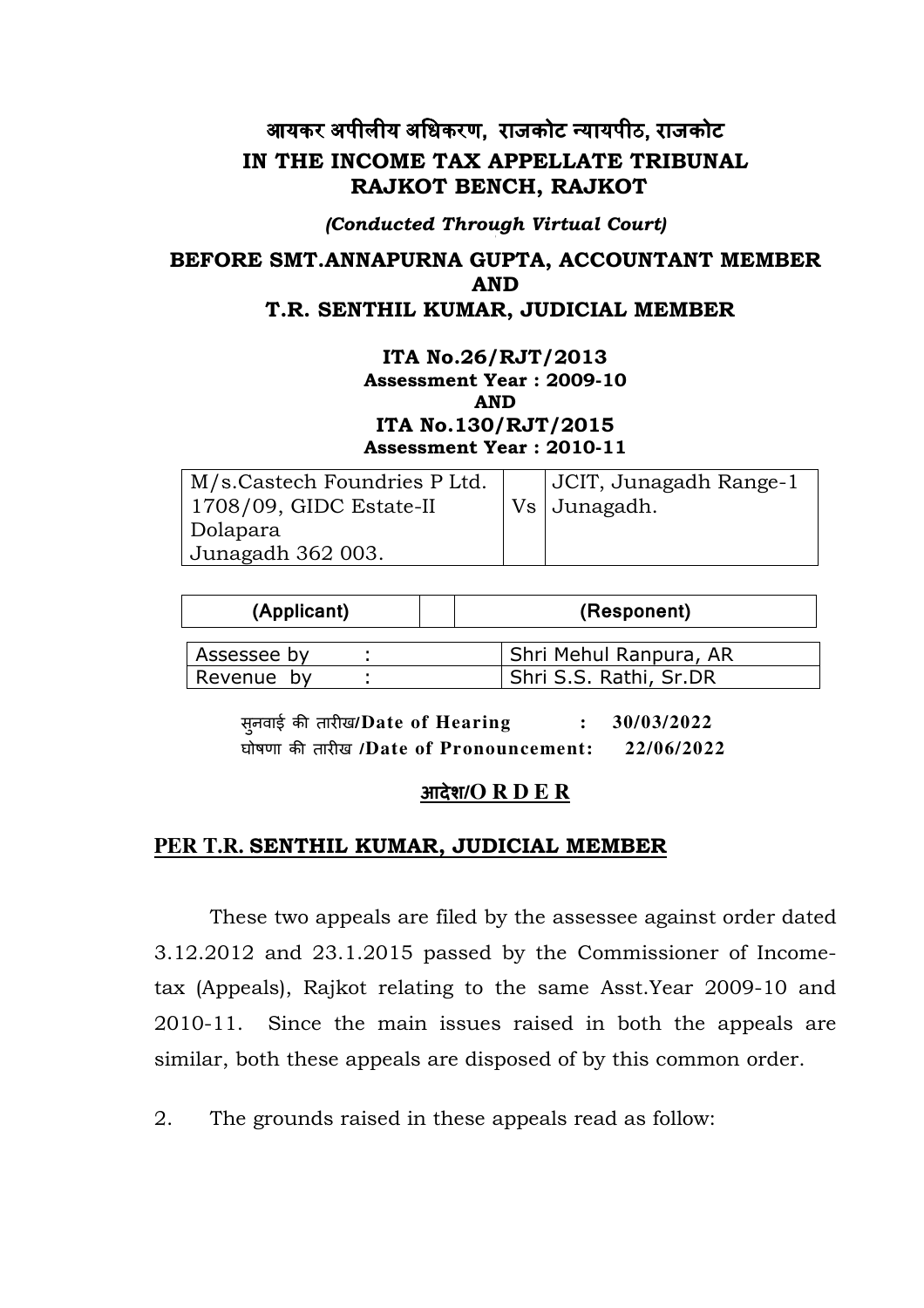# आयकर अपीलीय अधिकरण, राजकोट न्यायपीठ, राजकोट IN THE INCOME TAX APPELLATE TRIBUNAL RAJKOT BENCH, RAJKOT

(Conducted Through Virtual Court)

# BEFORE SMT.ANNAPURNA GUPTA, ACCOUNTANT MEMBER AND T.R. SENTHIL KUMAR, JUDICIAL MEMBER

#### ITA No.26/RJT/2013 Assessment Year : 2009-10 AND ITA No.130/RJT/2015 Assessment Year : 2010-11

| M/s.Castech Foundries P Ltd.<br>$1708/09$ , GIDC Estate-II | JCIT, Junagadh Range-1<br>Vs   Junagadh. |
|------------------------------------------------------------|------------------------------------------|
| Dolapara                                                   |                                          |
| Junagadh 362 003.                                          |                                          |

| (Applicant) |  | (Responent)            |
|-------------|--|------------------------|
| Assessee by |  | Shri Mehul Ranpura, AR |
| Revenue by  |  | Shri S.S. Rathi, Sr.DR |

सूनवाई की तारीख/Date of Hearing : 30/03/2022 घोषणा की तारीख /Date of Pronouncement: 22/06/2022

## आदेश/**O R D E R**

### **PER T.R.** SENTHIL KUMAR, JUDICIAL MEMBER

These two appeals are filed by the assessee against order dated 3.12.2012 and 23.1.2015 passed by the Commissioner of Incometax (Appeals), Rajkot relating to the same Asst.Year 2009-10 and 2010-11. Since the main issues raised in both the appeals are similar, both these appeals are disposed of by this common order.

2. The grounds raised in these appeals read as follow: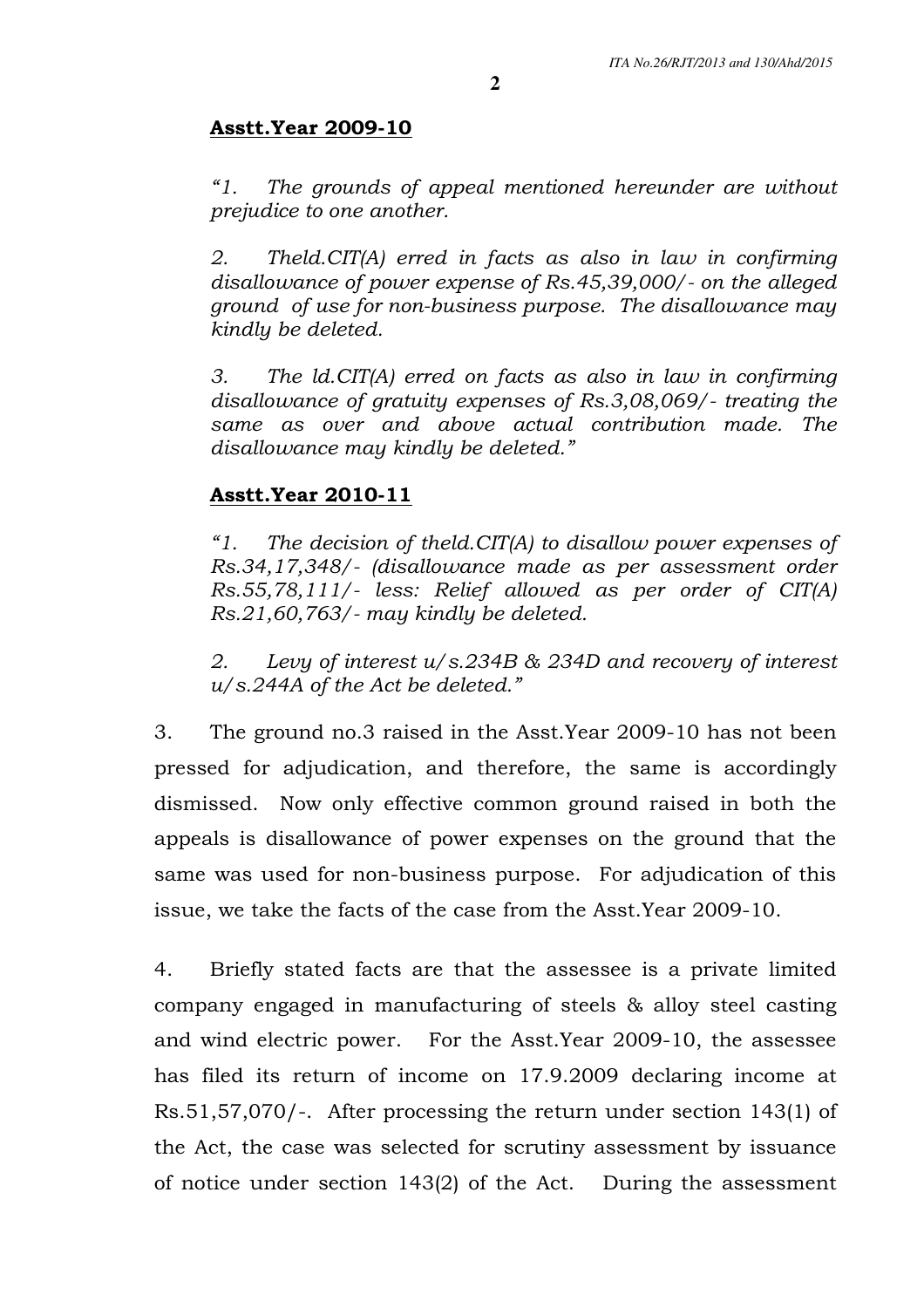# Asstt.Year 2009-10

"1. The grounds of appeal mentioned hereunder are without prejudice to one another.

2. Theld.CIT(A) erred in facts as also in law in confirming disallowance of power expense of Rs.45,39,000/- on the alleged ground of use for non-business purpose. The disallowance may kindly be deleted.

3. The ld.CIT(A) erred on facts as also in law in confirming disallowance of gratuity expenses of Rs.3,08,069/- treating the same as over and above actual contribution made. The disallowance may kindly be deleted."

# Asstt.Year 2010-11

"1. The decision of theld. CIT(A) to disallow power expenses of Rs.34,17,348/- (disallowance made as per assessment order Rs.55,78,111/- less: Relief allowed as per order of CIT(A) Rs.21,60,763/- may kindly be deleted.

2. Levy of interest u/s.234B & 234D and recovery of interest u/s.244A of the Act be deleted."

3. The ground no.3 raised in the Asst.Year 2009-10 has not been pressed for adjudication, and therefore, the same is accordingly dismissed. Now only effective common ground raised in both the appeals is disallowance of power expenses on the ground that the same was used for non-business purpose. For adjudication of this issue, we take the facts of the case from the Asst.Year 2009-10.

4. Briefly stated facts are that the assessee is a private limited company engaged in manufacturing of steels & alloy steel casting and wind electric power. For the Asst.Year 2009-10, the assessee has filed its return of income on 17.9.2009 declaring income at Rs.51,57,070/-. After processing the return under section 143(1) of the Act, the case was selected for scrutiny assessment by issuance of notice under section 143(2) of the Act. During the assessment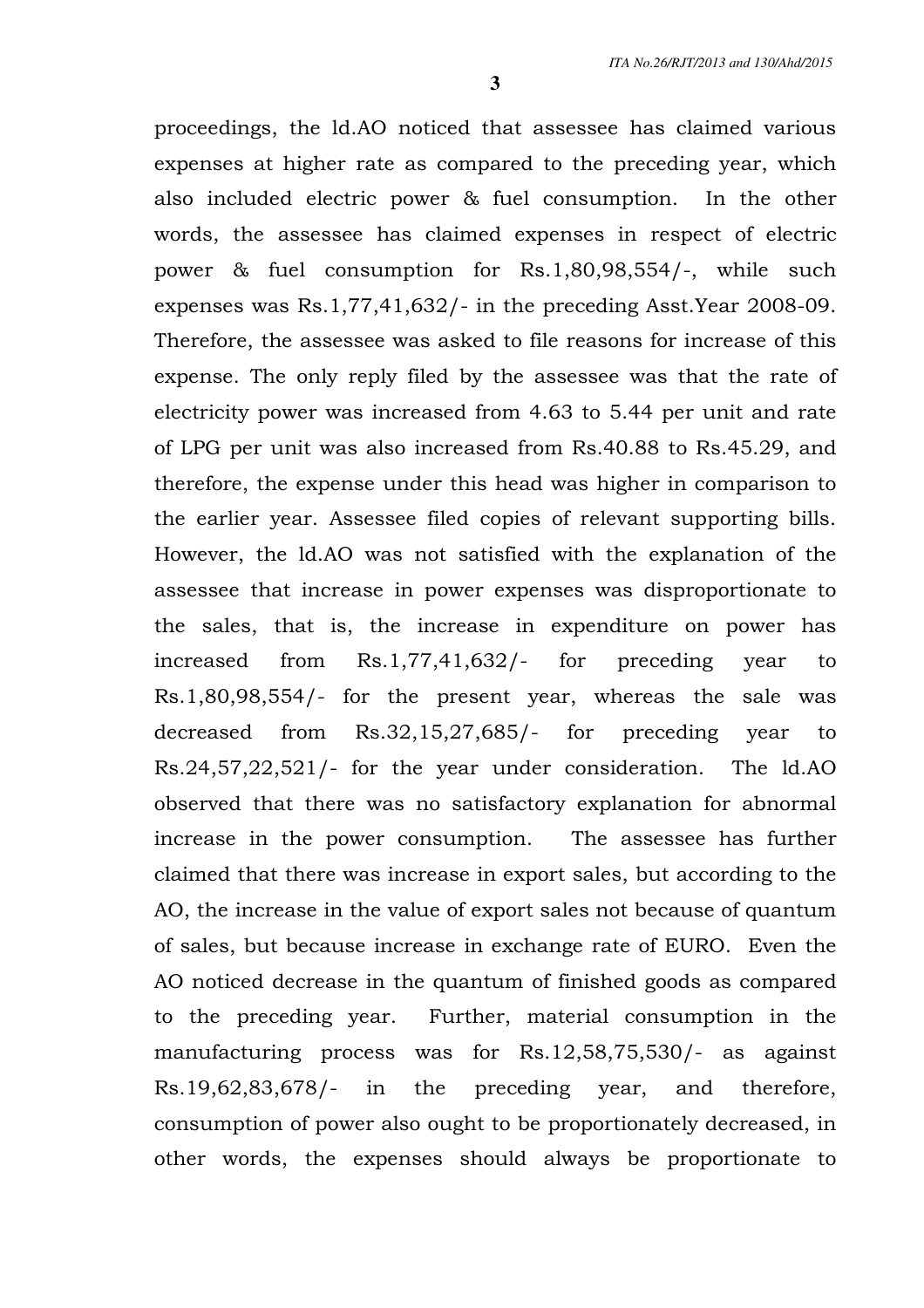proceedings, the ld.AO noticed that assessee has claimed various expenses at higher rate as compared to the preceding year, which also included electric power & fuel consumption. In the other words, the assessee has claimed expenses in respect of electric power & fuel consumption for Rs.1,80,98,554/-, while such expenses was Rs.1,77,41,632/- in the preceding Asst.Year 2008-09. Therefore, the assessee was asked to file reasons for increase of this expense. The only reply filed by the assessee was that the rate of electricity power was increased from 4.63 to 5.44 per unit and rate of LPG per unit was also increased from Rs.40.88 to Rs.45.29, and therefore, the expense under this head was higher in comparison to the earlier year. Assessee filed copies of relevant supporting bills. However, the ld.AO was not satisfied with the explanation of the assessee that increase in power expenses was disproportionate to the sales, that is, the increase in expenditure on power has increased from Rs.1,77,41,632/- for preceding year to Rs.1,80,98,554/- for the present year, whereas the sale was decreased from Rs.32,15,27,685/- for preceding year to Rs.24,57,22,521/- for the year under consideration. The ld.AO observed that there was no satisfactory explanation for abnormal increase in the power consumption. The assessee has further claimed that there was increase in export sales, but according to the AO, the increase in the value of export sales not because of quantum of sales, but because increase in exchange rate of EURO. Even the AO noticed decrease in the quantum of finished goods as compared to the preceding year. Further, material consumption in the manufacturing process was for Rs.12,58,75,530/- as against Rs.19,62,83,678/- in the preceding year, and therefore, consumption of power also ought to be proportionately decreased, in other words, the expenses should always be proportionate to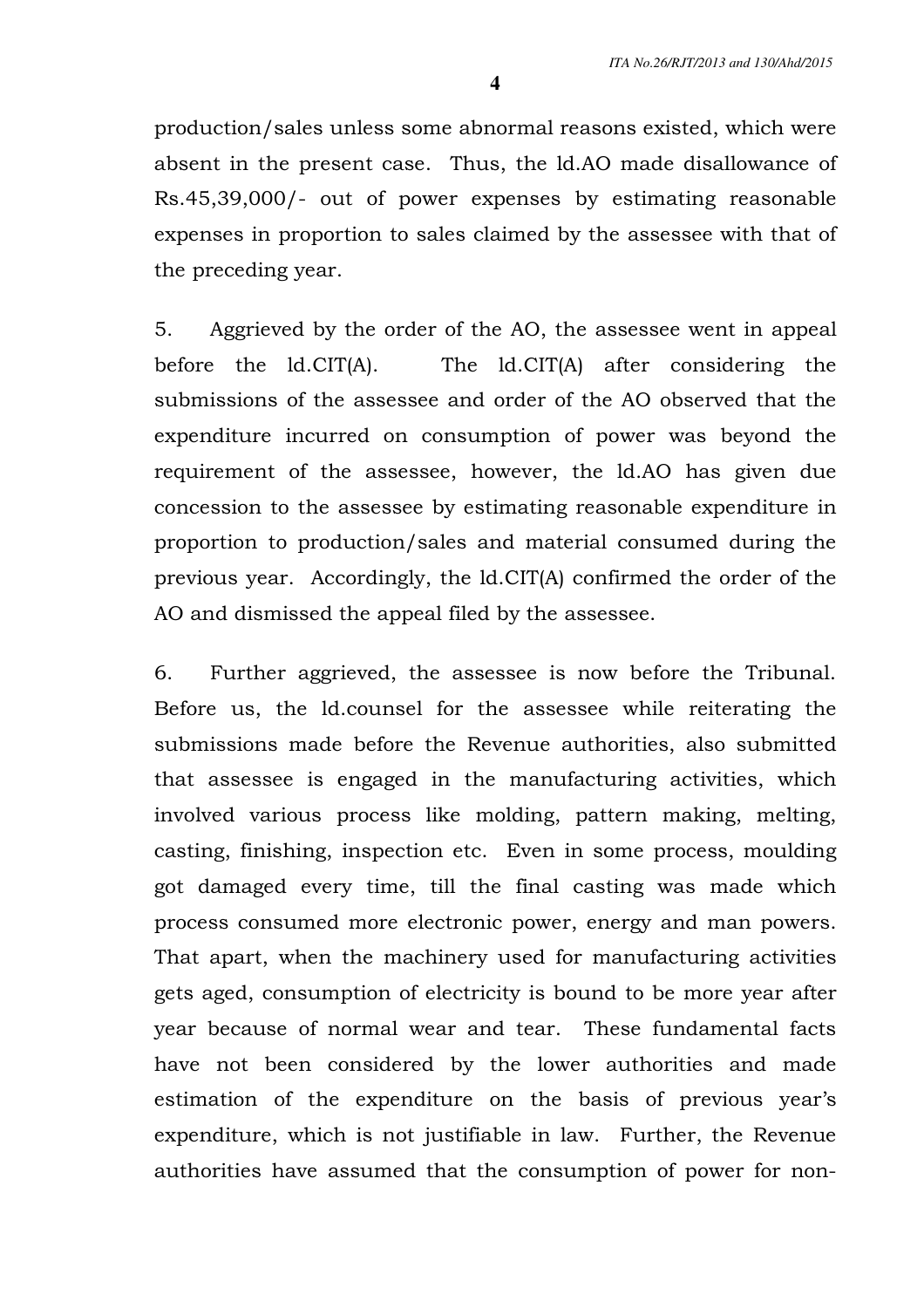production/sales unless some abnormal reasons existed, which were absent in the present case. Thus, the ld.AO made disallowance of Rs.45,39,000/- out of power expenses by estimating reasonable expenses in proportion to sales claimed by the assessee with that of the preceding year.

5. Aggrieved by the order of the AO, the assessee went in appeal before the ld.CIT(A). The ld.CIT(A) after considering the submissions of the assessee and order of the AO observed that the expenditure incurred on consumption of power was beyond the requirement of the assessee, however, the ld.AO has given due concession to the assessee by estimating reasonable expenditure in proportion to production/sales and material consumed during the previous year. Accordingly, the ld.CIT(A) confirmed the order of the AO and dismissed the appeal filed by the assessee.

6. Further aggrieved, the assessee is now before the Tribunal. Before us, the ld.counsel for the assessee while reiterating the submissions made before the Revenue authorities, also submitted that assessee is engaged in the manufacturing activities, which involved various process like molding, pattern making, melting, casting, finishing, inspection etc. Even in some process, moulding got damaged every time, till the final casting was made which process consumed more electronic power, energy and man powers. That apart, when the machinery used for manufacturing activities gets aged, consumption of electricity is bound to be more year after year because of normal wear and tear. These fundamental facts have not been considered by the lower authorities and made estimation of the expenditure on the basis of previous year's expenditure, which is not justifiable in law. Further, the Revenue authorities have assumed that the consumption of power for non-

**4**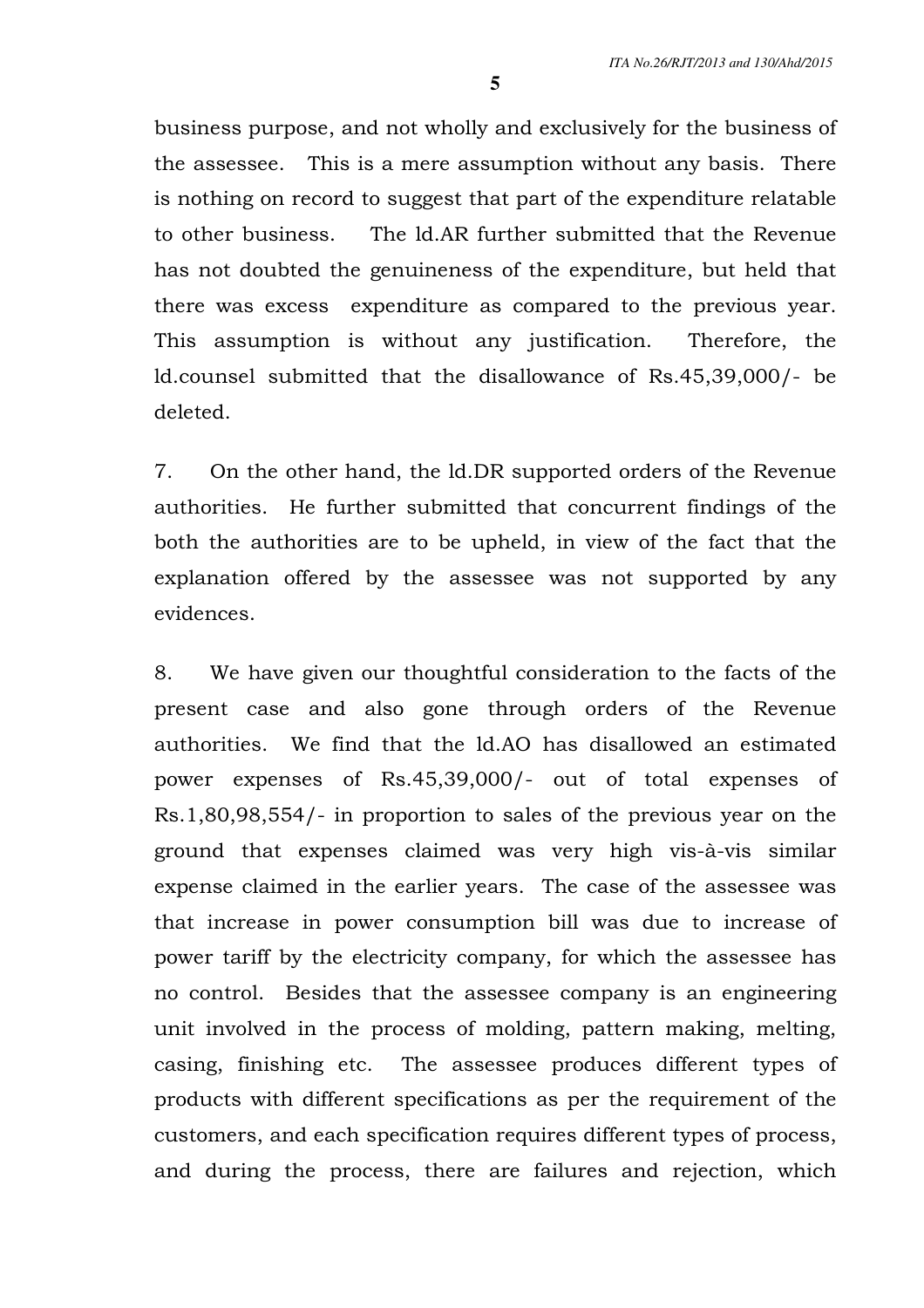business purpose, and not wholly and exclusively for the business of the assessee. This is a mere assumption without any basis. There is nothing on record to suggest that part of the expenditure relatable to other business. The ld.AR further submitted that the Revenue has not doubted the genuineness of the expenditure, but held that there was excess expenditure as compared to the previous year. This assumption is without any justification. Therefore, the ld.counsel submitted that the disallowance of Rs.45,39,000/- be deleted.

7. On the other hand, the ld.DR supported orders of the Revenue authorities. He further submitted that concurrent findings of the both the authorities are to be upheld, in view of the fact that the explanation offered by the assessee was not supported by any evidences.

8. We have given our thoughtful consideration to the facts of the present case and also gone through orders of the Revenue authorities. We find that the ld.AO has disallowed an estimated power expenses of Rs.45,39,000/- out of total expenses of Rs.1,80,98,554/- in proportion to sales of the previous year on the ground that expenses claimed was very high vis-à-vis similar expense claimed in the earlier years. The case of the assessee was that increase in power consumption bill was due to increase of power tariff by the electricity company, for which the assessee has no control. Besides that the assessee company is an engineering unit involved in the process of molding, pattern making, melting, casing, finishing etc. The assessee produces different types of products with different specifications as per the requirement of the customers, and each specification requires different types of process, and during the process, there are failures and rejection, which

**5**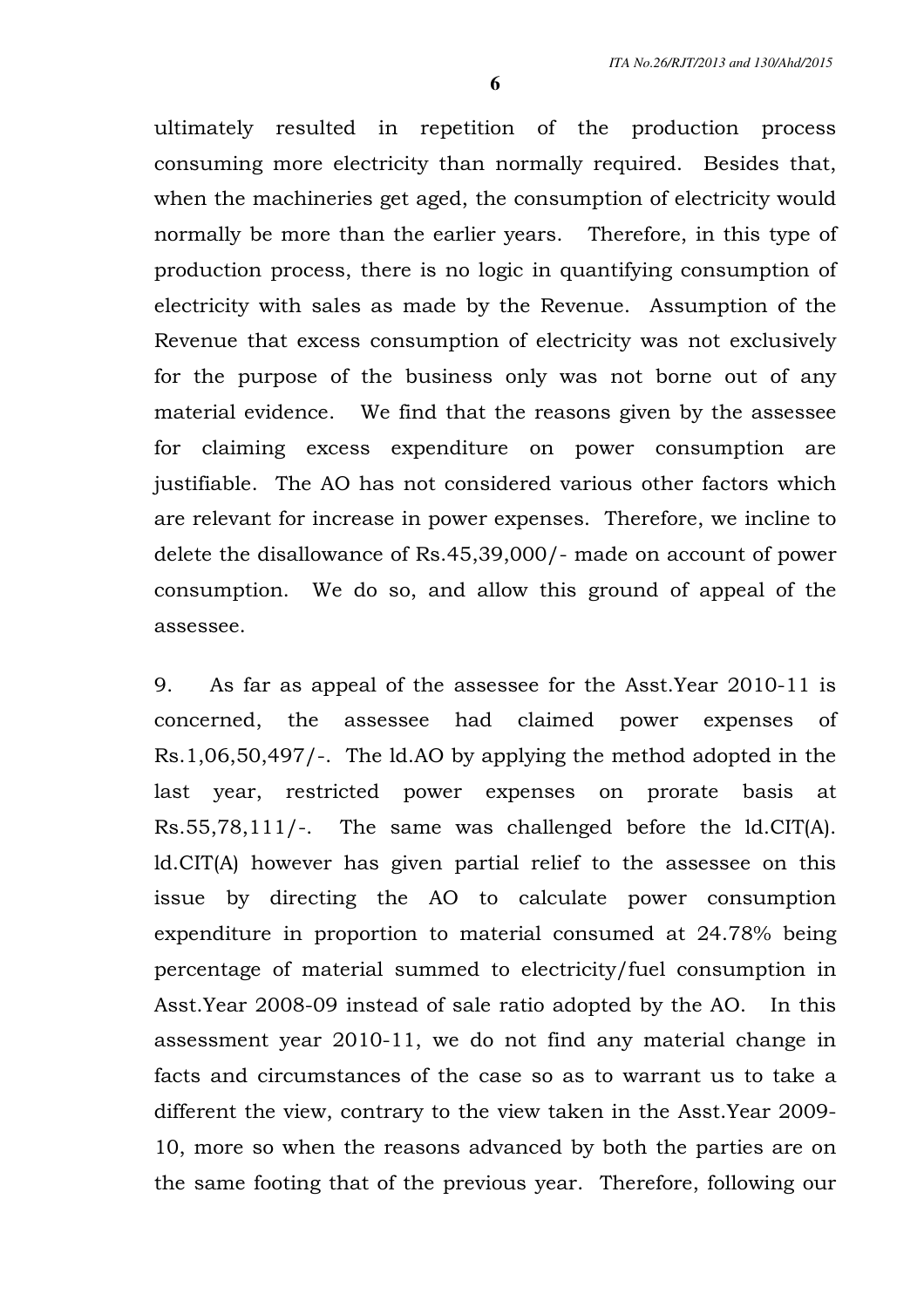ultimately resulted in repetition of the production process consuming more electricity than normally required. Besides that, when the machineries get aged, the consumption of electricity would normally be more than the earlier years. Therefore, in this type of production process, there is no logic in quantifying consumption of electricity with sales as made by the Revenue. Assumption of the Revenue that excess consumption of electricity was not exclusively for the purpose of the business only was not borne out of any material evidence. We find that the reasons given by the assessee for claiming excess expenditure on power consumption are justifiable. The AO has not considered various other factors which are relevant for increase in power expenses. Therefore, we incline to delete the disallowance of Rs.45,39,000/- made on account of power consumption. We do so, and allow this ground of appeal of the assessee.

9. As far as appeal of the assessee for the Asst.Year 2010-11 is concerned, the assessee had claimed power expenses of Rs.1,06,50,497/-. The ld.AO by applying the method adopted in the last year, restricted power expenses on prorate basis at Rs.55,78,111/-. The same was challenged before the ld.CIT(A). ld.CIT(A) however has given partial relief to the assessee on this issue by directing the AO to calculate power consumption expenditure in proportion to material consumed at 24.78% being percentage of material summed to electricity/fuel consumption in Asst.Year 2008-09 instead of sale ratio adopted by the AO. In this assessment year 2010-11, we do not find any material change in facts and circumstances of the case so as to warrant us to take a different the view, contrary to the view taken in the Asst.Year 2009- 10, more so when the reasons advanced by both the parties are on the same footing that of the previous year. Therefore, following our